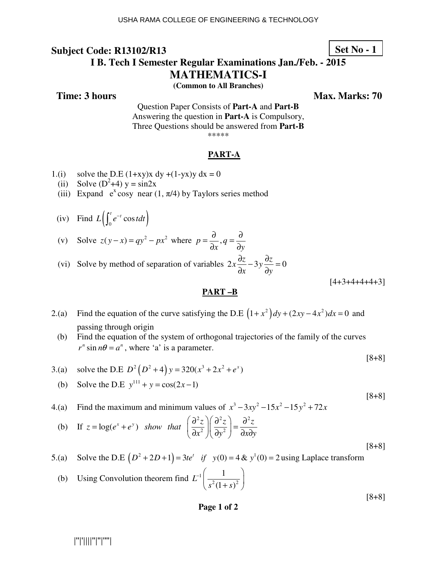## **Subject Code: R13102/R13 I B. Tech I Semester Regular Examinations Jan./Feb. - 2015**

# **MATHEMATICS-I**

**(Common to All Branches)** 

**Time: 3 hours** Max. Marks: 70

Question Paper Consists of **Part-A** and **Part-B** Answering the question in **Part-A** is Compulsory, Three Questions should be answered from **Part-B** \*\*\*\*\*

### **PART-A**

- 1.(i) solve the D.E  $(1+xy)x dy + (1-yx)y dx = 0$
- (ii) Solve  $(D^2+4)$  y = sin2x
	- (iii) Expand  $e^x \cos y$  near (1,  $\pi/4$ ) by Taylors series method
- (iv) Find  $L \left( \int_0^t e^{-t} \cos t dt \right)$

(v) Solve 
$$
z(y-x) = qy^2 - px^2
$$
 where  $p = \frac{\partial}{\partial x}, q = \frac{\partial}{\partial y}$ 

(vi) Solve by method of separation of variables  $2x\frac{\partial z}{\partial x} - 3y\frac{\partial z}{\partial y} = 0$  $x \rightarrow \partial y$  $\frac{\partial z}{\partial y} - 3y \frac{\partial z}{\partial z} =$  $\partial x$   $\partial$ 

 $[4+3+4+4+4+3]$ 

[8+8]

[8+8]

[8+8]

### **PART –B**

- 2.(a) Find the equation of the curve satisfying the D.E  $(1 + x^2)dy + (2xy 4x^2)dx = 0$  and passing through origin
	- (b) Find the equation of the system of orthogonal trajectories of the family of the curves  $r^n$  sin  $n\theta = a^n$ , where 'a' is a parameter.

3.(a) solve the D.E 
$$
D^2(D^2+4)y = 320(x^3+2x^2+e^x)
$$

- (b) Solve the D.E  $y^{111} + y = cos(2x-1)$
- 4.(a) Find the maximum and minimum values of  $x^3 3xy^2 15x^2 15y^2 + 72x$

(b) If 
$$
z = \log(e^x + e^y)
$$
 show that  $\left(\frac{\partial^2 z}{\partial x^2}\right)\left(\frac{\partial^2 z}{\partial y^2}\right) = \frac{\partial^2 z}{\partial x \partial y}$  [8+8]

5.(a) Solve the D.E  $(D^2 + 2D + 1) = 3te^t$  *if*  $y(0) = 4 & v^1(0) = 2$  using Laplace transform

(b) Using Convolution theorem find 
$$
L^{-1}\left(\frac{1}{s^2(1+s)^2}\right)
$$

### **Page 1 of 2**

Set No 
$$
-1
$$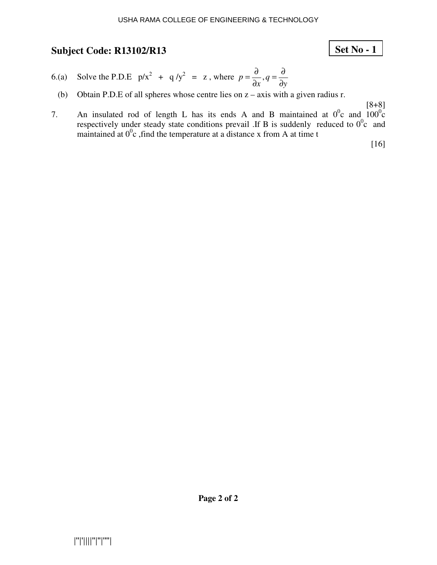# **Set No - 1**

- 6.(a) Solve the P.D.E  $p/x^2 + q/y^2 = z$ , where  $p = \frac{0}{2}, q$  $x^{\prime 4}$  dy  $=\frac{\partial}{\partial}$ ,  $q=\frac{\partial}{\partial}$  $\partial x$  d
- (b) Obtain P.D.E of all spheres whose centre lies on z axis with a given radius r.

[8+8]

7. An insulated rod of length L has its ends A and B maintained at  $0^0c$  and  $100^0c$ respectively under steady state conditions prevail .If B is suddenly reduced to  $0^0c$  and maintained at  $0^0$ c, find the temperature at a distance x from A at time t

[16]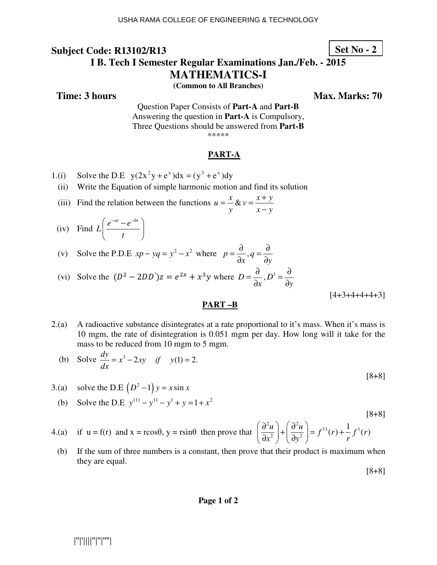## **Subject Code: R13102/R13 I B. Tech I Semester Regular Examinations Jan./Feb. - 2015 MATHEMATICS-I**

**(Common to All Branches)** 

**Time: 3 hours** Max. Marks: 70

**Set No - 2**

Question Paper Consists of **Part-A** and **Part-B** Answering the question in **Part-A** is Compulsory, Three Questions should be answered from **Part-B** \*\*\*\*\*

### **PART-A**

1.(i) Solve the D.E 
$$
y(2x^2y + e^x)dx = (y^3 + e^x)dy
$$

(ii) Write the Equation of simple harmonic motion and find its solution

- (iii) Find the relation between the functions  $u = -\frac{x}{2} \& y = \frac{x+y}{y}$ *y*  $x - y$  $=\frac{x}{x}$ &  $v = \frac{x+1}{x}$ −
- (iv) Find  $L\left(\frac{e^{-at}-e^{-bt}}{2}\right)$ *t*  $\left(e^{-at}-e^{-bt}\right)$  $\left(\frac{t}{t}\right)$
- (v) Solve the P.D.E  $xp yq = y^2 x^2$  where  $p = \frac{0}{2}, q$  $x^{\prime 4}$  dy  $=\frac{\partial}{\partial}$ ,  $q=\frac{\partial}{\partial}$  $\partial x$ <sup>2</sup> ∂

(vi) Solve the 
$$
(D^2 - 2DD')z = e^{2x} + x^3y
$$
 where  $D = \frac{\partial}{\partial x}, D^1 = \frac{\partial}{\partial y}$ 

 $[4+3+4+4+4+3]$ 

[8+8]

#### **PART –B**

2.(a) A radioactive substance disintegrates at a rate proportional to it's mass. When it's mass is 10 mgm, the rate of disintegration is 0.051 mgm per day. How long will it take for the mass to be reduced from 10 mgm to 5 mgm.

(b) Solve 
$$
\frac{dy}{dx} = x^3 - 2xy
$$
 if  $y(1) = 2$ . [8+8]

3.(a) solve the D.E  $(D^2-1)y = x \sin x$ 

(b) Solve the D.E 
$$
y^{111} - y^{11} - y^1 + y = 1 + x^2
$$

$$
\text{4. (a)} \quad \text{if } u = f(r) \text{ and } x = r\cos\theta, \ y = r\sin\theta \text{ then prove that } \left(\frac{\partial^2 u}{\partial x^2}\right) + \left(\frac{\partial^2 u}{\partial y^2}\right) = f^{11}(r) + \frac{1}{r}f^1(r)
$$

(b) If the sum of three numbers is a constant, then prove that their product is maximum when they are equal.

**Page 1 of 2**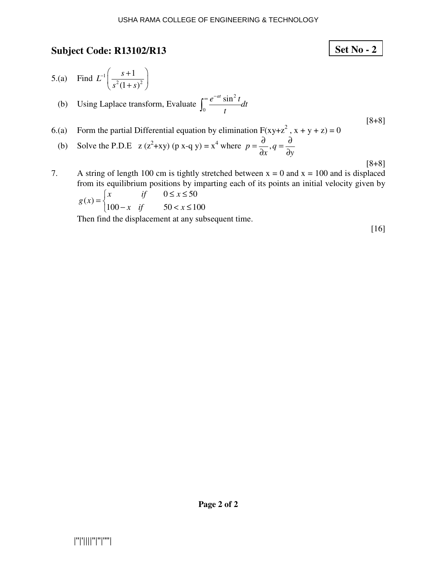**Set No - 2**

5.(a) Find  $L^{-1} \left| \frac{s+1}{s^2(1+s)^2} \right|$ 1  $(1 + s)$  $L^{-1}\left(\frac{s}{2}\right)$  $s^2(1+s)$  $-1$   $s+1$  $\left(\frac{1}{s^2(1+s)^2}\right)$  (b) Using Laplace transform, Evaluate 2  $\int_0^\infty \frac{e^{-at} \sin^2 t}{t} dt$ *t*  $\int_0^\infty \frac{e^{-x}}{x^2}$ [8+8]

6.(a) Form the partial Differential equation by elimination  $F(xy+z^2, x + y + z) = 0$ 

- (b) Solve the P.D.E  $z(z^2+xy)$  (p x-q y) =  $x^4$  where  $p = \frac{b}{2}$ , q  $x^{\prime\prime}$  dy  $=\frac{\partial}{\partial}$ ,  $q=\frac{\partial}{\partial}$  $\partial x$ <sup>2</sup> ∂
- 7. A string of length 100 cm is tightly stretched between  $x = 0$  and  $x = 100$  and is displaced from its equilibrium positions by imparting each of its points an initial velocity given by  $0 \leq x \leq 50$  $(x)$  $100 - x$  if  $50 < x \le 100$ *x if*  $0 \leq x$ *g x x if*  $50 < x$  $\begin{cases} x & \text{if} \quad 0 \leq x \leq x \end{cases}$  $=\{$  $\begin{cases} 100 - x & \text{if} \\ 0 & \text{if} \end{cases}$

Then find the displacement at any subsequent time.

[16]

[8+8]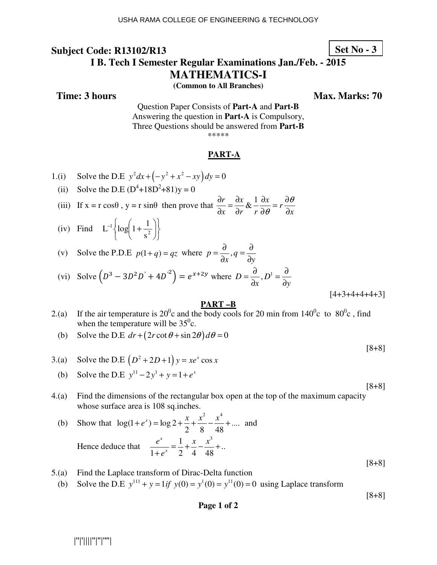## **Subject Code: R13102/R13 I B. Tech I Semester Regular Examinations Jan./Feb. - 2015**

**MATHEMATICS-I** 

**(Common to All Branches)** 

**Time: 3 hours Max. Marks: 70 Max. Marks: 70** 

**Set No - 3**

Question Paper Consists of **Part-A** and **Part-B** Answering the question in **Part-A** is Compulsory, Three Questions should be answered from **Part-B** \*\*\*\*\*

### **PART-A**

1.(i) Solve the D.E 
$$
y^2 dx + (-y^2 + x^2 - xy) dy = 0
$$

(ii) Solve the D.E  $(D^4 + 18D^2 + 81)y = 0$ 

(iii) If  $x = r \cos\theta$ ,  $y = r \sin\theta$  then prove that  $\frac{\partial r}{\partial x} = \frac{\partial x}{\partial y} \& \frac{1}{\partial y} \frac{\partial x}{\partial x} = r$ *x*  $\partial r$  *r*  $\partial \theta$   $\partial x$ θ θ  $\frac{\partial r}{\partial x} = \frac{\partial x}{\partial y} \& \frac{1}{x} \frac{\partial x}{\partial y} = r \frac{\partial}{\partial x}$  $\partial x \quad \partial r \quad r \ \partial \theta \quad \partial$ 

 (iv) Find J  $\left\{ \right\}$  $\mathcal{I}$  $\overline{a}$ ∤  $\int$  $\overline{\phantom{a}}$ J  $\left(1+\frac{1}{2}\right)$  $\setminus$  $\frac{1}{\log 1}$ 2 1 s  $L^{-1} \left\{ \log \left( 1 + \frac{1}{2} \right) \right\}$ 

(v) Solve the P.D.E 
$$
p(1+q) = qz
$$
 where  $p = \frac{\partial}{\partial x}, q = \frac{\partial}{\partial y}$ 

(vi) Solve 
$$
(D^3 - 3D^2D' + 4D'^2) = e^{x+2y}
$$
 where  $D = \frac{\partial}{\partial x}, D^1 = \frac{\partial}{\partial y}$ 

 $[4+3+4+4+4+3]$ 

[8+8]

[8+8]

[8+8]

### **PART –B**

- 2.(a) If the air temperature is  $20^0$ c and the body cools for 20 min from  $140^0$ c to  $80^0$ c, find when the temperature will be  $35^{\circ}$ c.
	- (b) Solve the D.E  $dr + (2r \cot \theta + \sin 2\theta) d\theta = 0$
- 3.(a) Solve the D.E  $(D^2 + 2D + 1)y = xe^x \cos x$
- (b) Solve the D.E  $y^{11} 2y^1 + y = 1 + e^x$
- 4.(a) Find the dimensions of the rectangular box open at the top of the maximum capacity whose surface area is 108 sq.inches.

(b) Show that 
$$
\log(1 + e^x) = \log 2 + \frac{x}{2} + \frac{x^2}{8} - \frac{x^4}{48} + \dots
$$
 and  
\nHence deduce that  $\frac{e^x}{1 + e^x} = \frac{1}{2} + \frac{x}{4} - \frac{x^3}{48} + \dots$  [8+8]

- 5.(a) Find the Laplace transform of Dirac-Delta function
	- (b) Solve the D.E  $y^{111} + y = 1$  if  $y(0) = y^1(0) = y^{11}(0) = 0$  using Laplace transform

### **Page 1 of 2**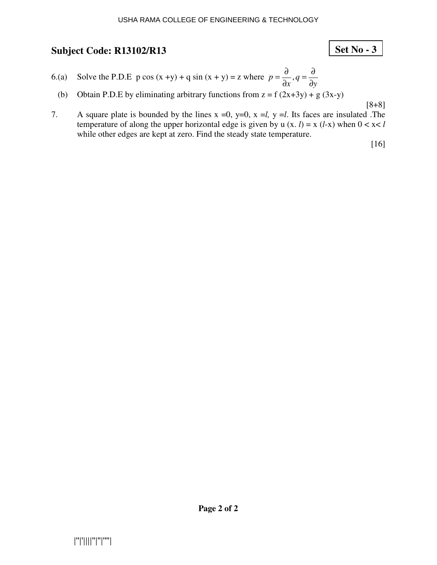# **Set No - 3**

- 6.(a) Solve the P.D.E p cos  $(x + y) + q \sin (x + y) = z$  where  $p = \frac{0}{x}, q$  $x^{\prime 4}$  dy  $=\frac{\partial}{\partial}$ ,  $q=\frac{\partial}{\partial}$  $\partial x$  d
- (b) Obtain P.D.E by eliminating arbitrary functions from  $z = f(2x+3y) + g(3x-y)$

[8+8]

7. A square plate is bounded by the lines  $x = 0$ ,  $y=0$ ,  $x = l$ ,  $y = l$ . Its faces are insulated .The temperature of along the upper horizontal edge is given by u  $(x, l) = x (l-x)$  when  $0 < x < l$ while other edges are kept at zero. Find the steady state temperature.

[16]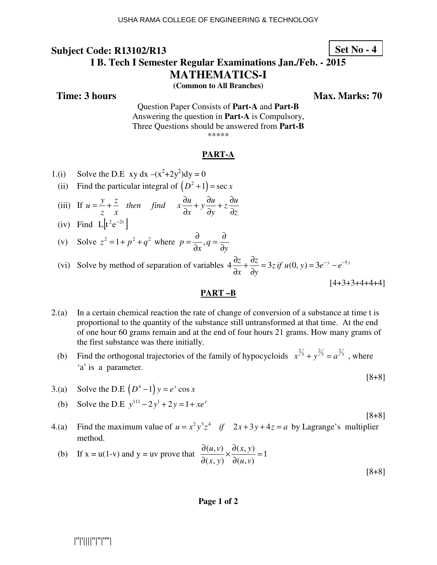### **Set No - 4**

## **I B. Tech I Semester Regular Examinations Jan./Feb. - 2015 MATHEMATICS-I**

**(Common to All Branches)** 

**Time: 3 hours** Max. Marks: 70

Question Paper Consists of **Part-A** and **Part-B** Answering the question in **Part-A** is Compulsory, Three Questions should be answered from **Part-B** \*\*\*\*\*

### **PART-A**

- 1.(i) Solve the D.E xy dx  $-(x^2+2y^2)dy = 0$
- (ii) Find the particular integral of  $(D^2 + 1) = \sec x$
- (iii) If  $u = \frac{y}{x} + \frac{z}{y}$  then find  $x \frac{\partial u}{\partial x} + y \frac{\partial u}{\partial y} + z \frac{\partial u}{\partial y}$ *z x*  $\partial x$   $\partial y$   $\partial z$  $=\frac{y}{z}+\frac{z}{z}$  then find  $x\frac{\partial u}{\partial x}+y\frac{\partial u}{\partial y}+z\frac{\partial u}{\partial x}$  $\partial x$   $\partial y$   $\partial$
- (iv) Find  $L[t^2e^{-2t}]$

(v) Solve 
$$
z^2 = 1 + p^2 + q^2
$$
 where  $p = \frac{\partial}{\partial x}, q = \frac{\partial}{\partial y}$ 

(vi) Solve by method of separation of variables  $4\frac{\partial z}{\partial x} + \frac{\partial z}{\partial y} = 3z$  *if*  $u(0, y) = 3e^{-y} - e^{-5y}$ *x dy*  $\frac{\partial z}{\partial z} + \frac{\partial z}{\partial z} = 3z \text{ if } u(0, y) = 3e^{-y} - e^{-y}$  $\partial x$  ∂

 $[4+3+3+4+4+4]$ 

[8+8]

[8+8]

#### **PART –B**

- 2.(a) In a certain chemical reaction the rate of change of conversion of a substance at time t is proportional to the quantity of the substance still untransformed at that time. At the end of one hour 60 grams remain and at the end of four hours 21 grams. How many grams of the first substance was there initially.
	- (b) Find the orthogonal trajectories of the family of hypocycloids  $x^{2/3} + y^{2/3} = a^{2/3}$ , where 'a' is a parameter.
- 3.(a) Solve the D.E  $(D^4 1)y = e^x \cos x$
- (b) Solve the D.E  $y^{111} 2y^1 + 2y = 1 + xe^x$
- 4.(a) Find the maximum value of  $u = x^2 y^3 z^4$  *if*  $2x + 3y + 4z = a$  by Lagrange's multiplier method.

(b) If 
$$
x = u(1-v)
$$
 and  $y = uv$  prove that 
$$
\frac{\partial(u, v)}{\partial(x, y)} \times \frac{\partial(x, y)}{\partial(u, v)} = 1
$$
 [8+8]

#### **Page 1 of 2**